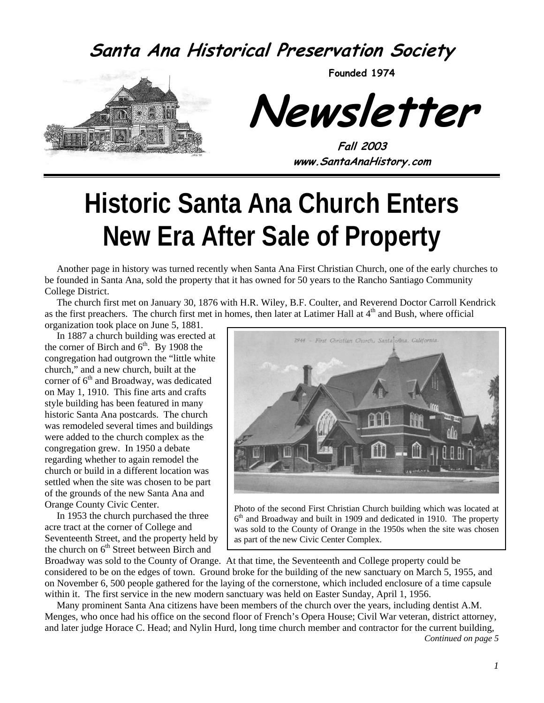#### **Santa Ana Historical Preservation Society**



**Founded 1974** 

**Newsletter** 

**Fall 2003 www.SantaAnaHistory.com** 

# **Historic Santa Ana Church Enters New Era After Sale of Property**

Another page in history was turned recently when Santa Ana First Christian Church, one of the early churches to be founded in Santa Ana, sold the property that it has owned for 50 years to the Rancho Santiago Community College District.

The church first met on January 30, 1876 with H.R. Wiley, B.F. Coulter, and Reverend Doctor Carroll Kendrick as the first preachers. The church first met in homes, then later at Latimer Hall at  $4<sup>th</sup>$  and Bush, where official organization took place on June 5, 1881.

In 1887 a church building was erected at the corner of Birch and  $6<sup>th</sup>$ . By 1908 the congregation had outgrown the "little white church," and a new church, built at the corner of  $6<sup>th</sup>$  and Broadway, was dedicated on May 1, 1910. This fine arts and crafts style building has been featured in many historic Santa Ana postcards. The church was remodeled several times and buildings were added to the church complex as the congregation grew. In 1950 a debate regarding whether to again remodel the church or build in a different location was settled when the site was chosen to be part of the grounds of the new Santa Ana and Orange County Civic Center.

In 1953 the church purchased the three acre tract at the corner of College and Seventeenth Street, and the property held by the church on 6<sup>th</sup> Street between Birch and



Photo of the second First Christian Church building which was located at  $6<sup>th</sup>$  and Broadway and built in 1909 and dedicated in 1910. The property was sold to the County of Orange in the 1950s when the site was chosen as part of the new Civic Center Complex.

Broadway was sold to the County of Orange. At that time, the Seventeenth and College property could be considered to be on the edges of town. Ground broke for the building of the new sanctuary on March 5, 1955, and on November 6, 500 people gathered for the laying of the cornerstone, which included enclosure of a time capsule within it. The first service in the new modern sanctuary was held on Easter Sunday, April 1, 1956.

Many prominent Santa Ana citizens have been members of the church over the years, including dentist A.M. Menges, who once had his office on the second floor of French's Opera House; Civil War veteran, district attorney, and later judge Horace C. Head; and Nylin Hurd, long time church member and contractor for the current building,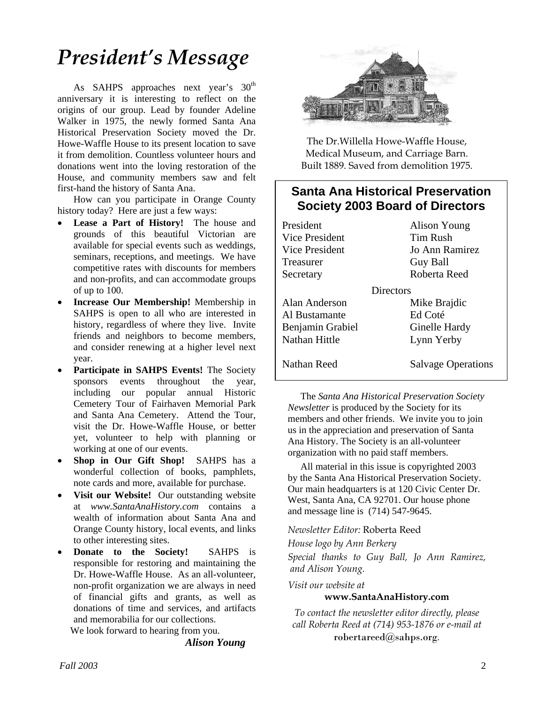## *President's Message*

As SAHPS approaches next year's 30<sup>th</sup> anniversary it is interesting to reflect on the origins of our group. Lead by founder Adeline Walker in 1975, the newly formed Santa Ana Historical Preservation Society moved the Dr. Howe-Waffle House to its present location to save it from demolition. Countless volunteer hours and donations went into the loving restoration of the House, and community members saw and felt first-hand the history of Santa Ana.

How can you participate in Orange County history today? Here are just a few ways:

- Lease a Part of History! The house and grounds of this beautiful Victorian are available for special events such as weddings, seminars, receptions, and meetings. We have competitive rates with discounts for members and non-profits, and can accommodate groups of up to 100.
- **Increase Our Membership!** Membership in SAHPS is open to all who are interested in history, regardless of where they live. Invite friends and neighbors to become members, and consider renewing at a higher level next year.
- **Participate in SAHPS Events!** The Society sponsors events throughout the year, including our popular annual Historic Cemetery Tour of Fairhaven Memorial Park and Santa Ana Cemetery. Attend the Tour, visit the Dr. Howe-Waffle House, or better yet, volunteer to help with planning or working at one of our events.
- **Shop in Our Gift Shop!** SAHPS has a wonderful collection of books, pamphlets, note cards and more, available for purchase.
- **Visit our Website!** Our outstanding website at *www.SantaAnaHistory.com* contains a wealth of information about Santa Ana and Orange County history, local events, and links to other interesting sites.
- **Donate to the Society!** SAHPS is responsible for restoring and maintaining the Dr. Howe-Waffle House. As an all-volunteer, non-profit organization we are always in need of financial gifts and grants, as well as donations of time and services, and artifacts and memorabilia for our collections.

We look forward to hearing from you.

*Alison Young* 



The Dr.Willella Howe-Waffle House, Medical Museum, and Carriage Barn. Built 1889. Saved from demolition 1975.

#### **Santa Ana Historical Preservation Society 2003 Board of Directors**

President Alison Young Vice President Tim Rush Vice President Jo Ann Ramirez Treasurer Guy Ball Secretary Roberta Reed **Directors** Alan Anderson Mike Brajdic Al Bustamante Ed Coté Benjamin Grabiel Ginelle Hardy Nathan Hittle Lynn Yerby Nathan Reed Salvage Operations

The *Santa Ana Historical Preservation Society Newsletter* is produced by the Society for its members and other friends. We invite you to join us in the appreciation and preservation of Santa Ana History. The Society is an all-volunteer organization with no paid staff members.

All material in this issue is copyrighted 2003 by the Santa Ana Historical Preservation Society. Our main headquarters is at 120 Civic Center Dr. West, Santa Ana, CA 92701. Our house phone and message line is (714) 547-9645.

*Newsletter Editor:* Roberta Reed

*House logo by Ann Berkery* 

*Special thanks to Guy Ball, Jo Ann Ramirez, and Alison Young.* 

*Visit our website at* 

#### **www.SantaAnaHistory.com**

*To contact the newsletter editor directly, please call Roberta Reed at (714) 953-1876 or e-mail at*  robertareed@sahps.org*.*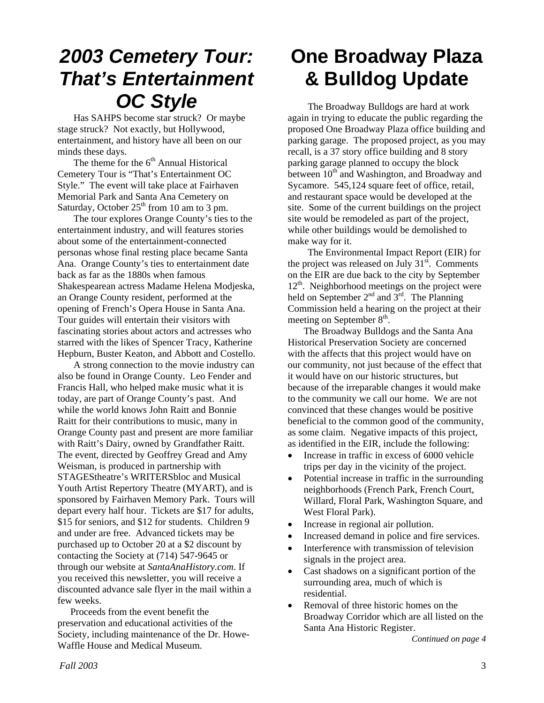## *2003 Cemetery Tour: That's Entertainment OC Style*

Has SAHPS become star struck? Or maybe stage struck? Not exactly, but Hollywood, entertainment, and history have all been on our minds these days.

The theme for the  $6<sup>th</sup>$  Annual Historical Cemetery Tour is "That's Entertainment OC Style." The event will take place at Fairhaven Memorial Park and Santa Ana Cemetery on Saturday, October  $25<sup>th</sup>$  from 10 am to 3 pm.

The tour explores Orange County's ties to the entertainment industry, and will features stories about some of the entertainment-connected personas whose final resting place became Santa Ana. Orange County's ties to entertainment date back as far as the 1880s when famous Shakespearean actress Madame Helena Modjeska, an Orange County resident, performed at the opening of French's Opera House in Santa Ana. Tour guides will entertain their visitors with fascinating stories about actors and actresses who starred with the likes of Spencer Tracy, Katherine Hepburn, Buster Keaton, and Abbott and Costello.

A strong connection to the movie industry can also be found in Orange County. Leo Fender and Francis Hall, who helped make music what it is today, are part of Orange County's past. And while the world knows John Raitt and Bonnie Raitt for their contributions to music, many in Orange County past and present are more familiar with Raitt's Dairy, owned by Grandfather Raitt. The event, directed by Geoffrey Gread and Amy Weisman, is produced in partnership with STAGEStheatre's WRITERSbloc and Musical Youth Artist Repertory Theatre (MYART), and is sponsored by Fairhaven Memory Park. Tours will depart every half hour. Tickets are \$17 for adults, \$15 for seniors, and \$12 for students. Children 9 and under are free. Advanced tickets may be purchased up to October 20 at a \$2 discount by contacting the Society at (714) 547-9645 or through our website at *SantaAnaHistory.com*. If you received this newsletter, you will receive a discounted advance sale flyer in the mail within a few weeks.

Proceeds from the event benefit the preservation and educational activities of the Society, including maintenance of the Dr. Howe-Waffle House and Medical Museum.

## **One Broadway Plaza & Bulldog Update**

The Broadway Bulldogs are hard at work again in trying to educate the public regarding the proposed One Broadway Plaza office building and parking garage. The proposed project, as you may recall, is a 37 story office building and 8 story parking garage planned to occupy the block between  $10<sup>th</sup>$  and Washington, and Broadway and Sycamore. 545,124 square feet of office, retail, and restaurant space would be developed at the site. Some of the current buildings on the project site would be remodeled as part of the project, while other buildings would be demolished to make way for it.

The Environmental Impact Report (EIR) for the project was released on  $\bar{J}$ uly 31 $\mathrm{s}$ <sup>st</sup>. Comments on the EIR are due back to the city by September 12<sup>th</sup>. Neighborhood meetings on the project were held on September  $2^{nd}$  and  $3^{rd}$ . The Planning Commission held a hearing on the project at their meeting on September  $8<sup>th</sup>$ .

The Broadway Bulldogs and the Santa Ana Historical Preservation Society are concerned with the affects that this project would have on our community, not just because of the effect that it would have on our historic structures, but because of the irreparable changes it would make to the community we call our home. We are not convinced that these changes would be positive beneficial to the common good of the community, as some claim. Negative impacts of this project, as identified in the EIR, include the following:

- Increase in traffic in excess of 6000 vehicle trips per day in the vicinity of the project.
- Potential increase in traffic in the surrounding neighborhoods (French Park, French Court, Willard, Floral Park, Washington Square, and West Floral Park).
- Increase in regional air pollution.
- Increased demand in police and fire services.
- Interference with transmission of television signals in the project area.
- Cast shadows on a significant portion of the surrounding area, much of which is residential.
- Removal of three historic homes on the Broadway Corridor which are all listed on the Santa Ana Historic Register.

*Continued on page 4*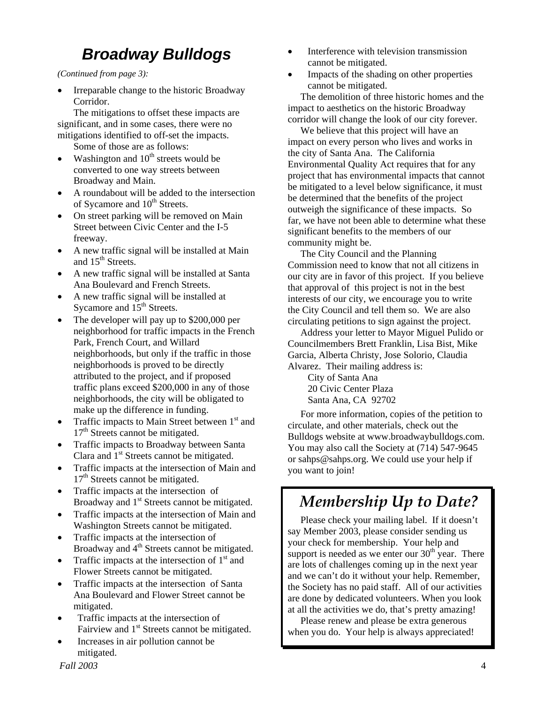#### *Broadway Bulldogs*

*(Continued from page 3):* 

• Irreparable change to the historic Broadway Corridor.

The mitigations to offset these impacts are significant, and in some cases, there were no mitigations identified to off-set the impacts.

Some of those are as follows:

- Washington and  $10<sup>th</sup>$  streets would be converted to one way streets between Broadway and Main.
- A roundabout will be added to the intersection of Sycamore and 10<sup>th</sup> Streets.
- On street parking will be removed on Main Street between Civic Center and the I-5 freeway.
- A new traffic signal will be installed at Main and 15<sup>th</sup> Streets.
- A new traffic signal will be installed at Santa Ana Boulevard and French Streets.
- A new traffic signal will be installed at Sycamore and 15<sup>th</sup> Streets.
- The developer will pay up to \$200,000 per neighborhood for traffic impacts in the French Park, French Court, and Willard neighborhoods, but only if the traffic in those neighborhoods is proved to be directly attributed to the project, and if proposed traffic plans exceed \$200,000 in any of those neighborhoods, the city will be obligated to make up the difference in funding.
- Traffic impacts to Main Street between 1<sup>st</sup> and 17<sup>th</sup> Streets cannot be mitigated.
- Traffic impacts to Broadway between Santa Clara and  $1<sup>st</sup>$  Streets cannot be mitigated.
- Traffic impacts at the intersection of Main and 17<sup>th</sup> Streets cannot be mitigated.
- Traffic impacts at the intersection of Broadway and 1<sup>st</sup> Streets cannot be mitigated.
- Traffic impacts at the intersection of Main and Washington Streets cannot be mitigated.
- Traffic impacts at the intersection of Broadway and 4<sup>th</sup> Streets cannot be mitigated.
- Traffic impacts at the intersection of  $1<sup>st</sup>$  and Flower Streets cannot be mitigated.
- Traffic impacts at the intersection of Santa Ana Boulevard and Flower Street cannot be mitigated.
- Traffic impacts at the intersection of Fairview and  $1<sup>st</sup>$  Streets cannot be mitigated.
- Increases in air pollution cannot be mitigated.
- Interference with television transmission cannot be mitigated.
- Impacts of the shading on other properties cannot be mitigated.

The demolition of three historic homes and the impact to aesthetics on the historic Broadway corridor will change the look of our city forever.

We believe that this project will have an impact on every person who lives and works in the city of Santa Ana. The California Environmental Quality Act requires that for any project that has environmental impacts that cannot be mitigated to a level below significance, it must be determined that the benefits of the project outweigh the significance of these impacts. So far, we have not been able to determine what these significant benefits to the members of our community might be.

The City Council and the Planning Commission need to know that not all citizens in our city are in favor of this project. If you believe that approval of this project is not in the best interests of our city, we encourage you to write the City Council and tell them so. We are also circulating petitions to sign against the project.

Address your letter to Mayor Miguel Pulido or Councilmembers Brett Franklin, Lisa Bist, Mike Garcia, Alberta Christy, Jose Solorio, Claudia Alvarez. Their mailing address is:

City of Santa Ana 20 Civic Center Plaza Santa Ana, CA 92702

For more information, copies of the petition to circulate, and other materials, check out the Bulldogs website at www.broadwaybulldogs.com. You may also call the Society at (714) 547-9645 or sahps@sahps.org. We could use your help if you want to join!

#### *Membership Up to Date?*

Please check your mailing label. If it doesn't say Member 2003, please consider sending us your check for membership. Your help and support is needed as we enter our  $30<sup>th</sup>$  year. There are lots of challenges coming up in the next year and we can't do it without your help. Remember, the Society has no paid staff. All of our activities are done by dedicated volunteers. When you look at all the activities we do, that's pretty amazing!

Please renew and please be extra generous when you do. Your help is always appreciated!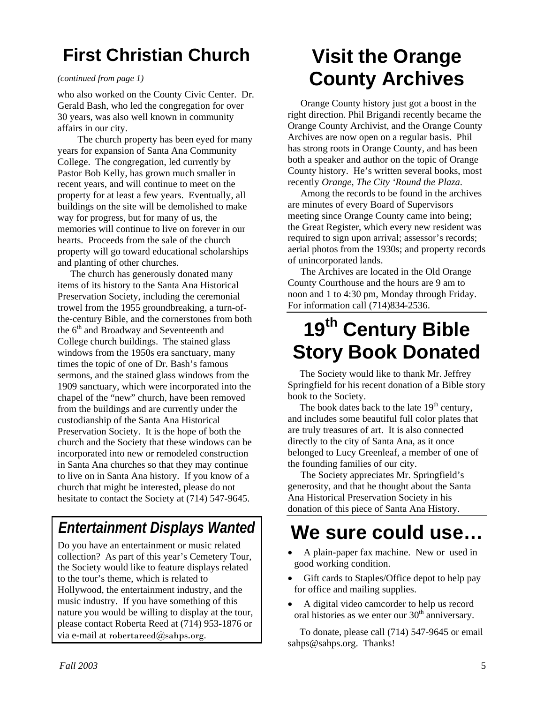### **First Christian Church**

#### *(continued from page 1)*

who also worked on the County Civic Center. Dr. Gerald Bash, who led the congregation for over 30 years, was also well known in community affairs in our city.

The church property has been eyed for many years for expansion of Santa Ana Community College. The congregation, led currently by Pastor Bob Kelly, has grown much smaller in recent years, and will continue to meet on the property for at least a few years. Eventually, all buildings on the site will be demolished to make way for progress, but for many of us, the memories will continue to live on forever in our hearts. Proceeds from the sale of the church property will go toward educational scholarships and planting of other churches.

The church has generously donated many items of its history to the Santa Ana Historical Preservation Society, including the ceremonial trowel from the 1955 groundbreaking, a turn-ofthe-century Bible, and the cornerstones from both the 6<sup>th</sup> and Broadway and Seventeenth and College church buildings. The stained glass windows from the 1950s era sanctuary, many times the topic of one of Dr. Bash's famous sermons, and the stained glass windows from the 1909 sanctuary, which were incorporated into the chapel of the "new" church, have been removed from the buildings and are currently under the custodianship of the Santa Ana Historical Preservation Society. It is the hope of both the church and the Society that these windows can be incorporated into new or remodeled construction in Santa Ana churches so that they may continue to live on in Santa Ana history. If you know of a church that might be interested, please do not hesitate to contact the Society at (714) 547-9645.

#### *Entertainment Displays Wanted*

Do you have an entertainment or music related collection? As part of this year's Cemetery Tour, the Society would like to feature displays related to the tour's theme, which is related to Hollywood, the entertainment industry, and the music industry. If you have something of this nature you would be willing to display at the tour, please contact Roberta Reed at (714) 953-1876 or via e-mail at robertareed@sahps.org.

## **Visit the Orange County Archives**

Orange County history just got a boost in the right direction. Phil Brigandi recently became the Orange County Archivist, and the Orange County Archives are now open on a regular basis. Phil has strong roots in Orange County, and has been both a speaker and author on the topic of Orange County history. He's written several books, most recently *Orange, The City 'Round the Plaza*.

Among the records to be found in the archives are minutes of every Board of Supervisors meeting since Orange County came into being; the Great Register, which every new resident was required to sign upon arrival; assessor's records; aerial photos from the 1930s; and property records of unincorporated lands.

The Archives are located in the Old Orange County Courthouse and the hours are 9 am to noon and 1 to 4:30 pm, Monday through Friday. For information call (714)834-2536.

## **19th Century Bible Story Book Donated**

The Society would like to thank Mr. Jeffrey Springfield for his recent donation of a Bible story book to the Society.

The book dates back to the late  $19<sup>th</sup>$  century, and includes some beautiful full color plates that are truly treasures of art. It is also connected directly to the city of Santa Ana, as it once belonged to Lucy Greenleaf, a member of one of the founding families of our city.

The Society appreciates Mr. Springfield's generosity, and that he thought about the Santa Ana Historical Preservation Society in his donation of this piece of Santa Ana History.

## **We sure could use…**

- A plain-paper fax machine. New or used in good working condition.
- Gift cards to Staples/Office depot to help pay for office and mailing supplies.
- A digital video camcorder to help us record oral histories as we enter our  $30<sup>th</sup>$  anniversary.

To donate, please call (714) 547-9645 or email sahps@sahps.org. Thanks!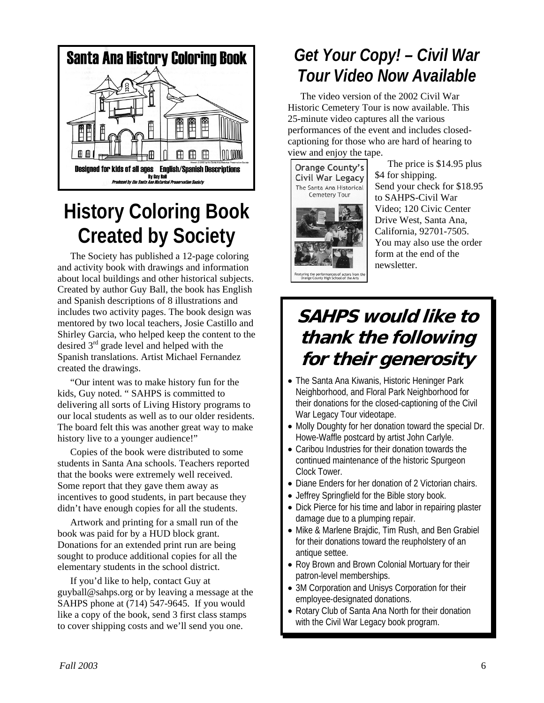

## **History Coloring Book Created by Society**

The Society has published a 12-page coloring and activity book with drawings and information about local buildings and other historical subjects. Created by author Guy Ball, the book has English and Spanish descriptions of 8 illustrations and includes two activity pages. The book design was mentored by two local teachers, Josie Castillo and Shirley Garcia, who helped keep the content to the desired  $3<sup>rd</sup>$  grade level and helped with the Spanish translations. Artist Michael Fernandez created the drawings.

"Our intent was to make history fun for the kids, Guy noted. " SAHPS is committed to delivering all sorts of Living History programs to our local students as well as to our older residents. The board felt this was another great way to make history live to a younger audience!"

Copies of the book were distributed to some students in Santa Ana schools. Teachers reported that the books were extremely well received. Some report that they gave them away as incentives to good students, in part because they didn't have enough copies for all the students.

Artwork and printing for a small run of the damage due to a plumping repair. book was paid for by a HUD block grant. Donations for an extended print run are being sought to produce additional copies for all the elementary students in the school district.

patron-level memberships. If you'd like to help, contact Guy at guyball@sahps.org or by leaving a message at the SAHPS phone at (714) 547-9645. If you would like a copy of the book, send 3 first class stamps to cover shipping costs and we'll send you one.

### *Get Your Copy! – Civil War Tour Video Now Available*

The video version of the 2002 Civil War Historic Cemetery Tour is now available. This 25-minute video captures all the various performances of the event and includes closedcaptioning for those who are hard of hearing to view and enjoy the tape.



The price is \$14.95 plus \$4 for shipping. Send your check for \$18.95 to SAHPS-Civil War Video; 120 Civic Center Drive West, Santa Ana, California, 92701-7505. You may also use the order form at the end of the newsletter.

### **SAHPS would like to thank the following for their generosity**

- The Santa Ana Kiwanis, Historic Heninger Park Neighborhood, and Floral Park Neighborhood for their donations for the closed-captioning of the Civil War Legacy Tour videotape.
- Molly Doughty for her donation toward the special Dr. Howe-Waffle postcard by artist John Carlyle.
- Caribou Industries for their donation towards the continued maintenance of the historic Spurgeon Clock Tower.
- Diane Enders for her donation of 2 Victorian chairs.
- Jeffrey Springfield for the Bible story book.
- Dick Pierce for his time and labor in repairing plaster
- Mike & Marlene Brajdic, Tim Rush, and Ben Grabiel for their donations toward the reupholstery of an antique settee.
- Roy Brown and Brown Colonial Mortuary for their
- 3M Corporation and Unisys Corporation for their employee-designated donations.
- Rotary Club of Santa Ana North for their donation with the Civil War Legacy book program.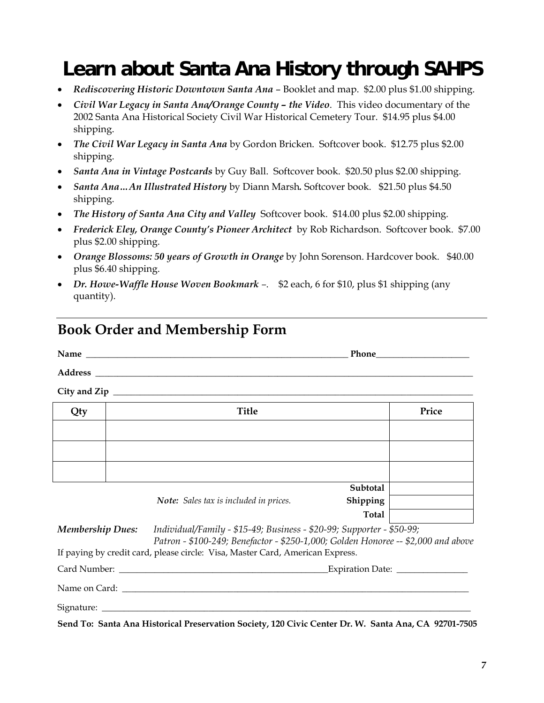## **Learn about Santa Ana History through SAHPS**

- *Rediscovering Historic Downtown Santa Ana* Booklet and map. \$2.00 plus \$1.00 shipping.
- *Civil War Legacy in Santa Ana/Orange County the Video*. This video documentary of the 2002 Santa Ana Historical Society Civil War Historical Cemetery Tour. \$14.95 plus \$4.00 shipping.
- *The Civil War Legacy in Santa Ana* by Gordon Bricken.Softcover book. \$12.75 plus \$2.00 shipping.
- *Santa Ana in Vintage Postcards* by Guy Ball. Softcover book. \$20.50 plus \$2.00 shipping.
- *Santa Ana* ... An Illustrated History by Diann Marsh. Softcover book. \$21.50 plus \$4.50 shipping.
- *The History of Santa Ana City and Valley* Softcover book. \$14.00 plus \$2.00 shipping.
- *Frederick Eley, Orange County's Pioneer Architect* by Rob Richardson. Softcover book. \$7.00 plus \$2.00 shipping.
- *Orange Blossoms: 50 years of Growth in Orange* by John Sorenson. Hardcover book. \$40.00 plus \$6.40 shipping.
- *Dr. Howe-Waffle House Woven Bookmark –*. \$2 each, 6 for \$10, plus \$1 shipping (any quantity).

#### **Book Order and Membership Form**

**Address \_\_\_\_\_\_\_\_\_\_\_\_\_\_\_\_\_\_\_\_\_\_\_\_\_\_\_\_\_\_\_\_\_\_\_\_\_\_\_\_\_\_\_\_\_\_\_\_\_\_\_\_\_\_\_\_\_\_\_\_\_\_\_\_\_\_\_\_\_\_\_\_\_\_\_\_\_\_\_\_\_\_\_\_\_** 

| Name | $\mathbf{m}$<br>$ -$<br>T TIOTIE<br>______ |
|------|--------------------------------------------|
|      |                                            |

**City and Zip \_\_\_\_\_\_\_\_\_\_\_\_\_\_\_\_\_\_\_\_\_\_\_\_\_\_\_\_\_\_\_\_\_\_\_\_\_\_\_\_\_\_\_\_\_\_\_\_\_\_\_\_\_\_\_\_\_\_\_\_\_\_\_\_\_\_\_\_\_\_\_\_\_\_\_\_\_\_\_\_\_** 

| Qty | <b>Title</b> | Price |
|-----|--------------|-------|
|     |              |       |
|     |              |       |
|     |              |       |
|     | Subtotal     |       |

*Note: Sales tax is included in prices.* **Shipping Total** 

*Membership Dues: Individual/Family - \$15-49; Business - \$20-99; Supporter - \$50-99;* 

*Patron - \$100-249; Benefactor - \$250-1,000; Golden Honoree -- \$2,000 and above*  If paying by credit card, please circle: Visa, Master Card, American Express.

| Card Number: | <b>Expiration Date:</b> |  |
|--------------|-------------------------|--|
|              |                         |  |

Name on Card:

Signature:

**Send To: Santa Ana Historical Preservation Society, 120 Civic Center Dr. W. Santa Ana, CA 92701-7505**